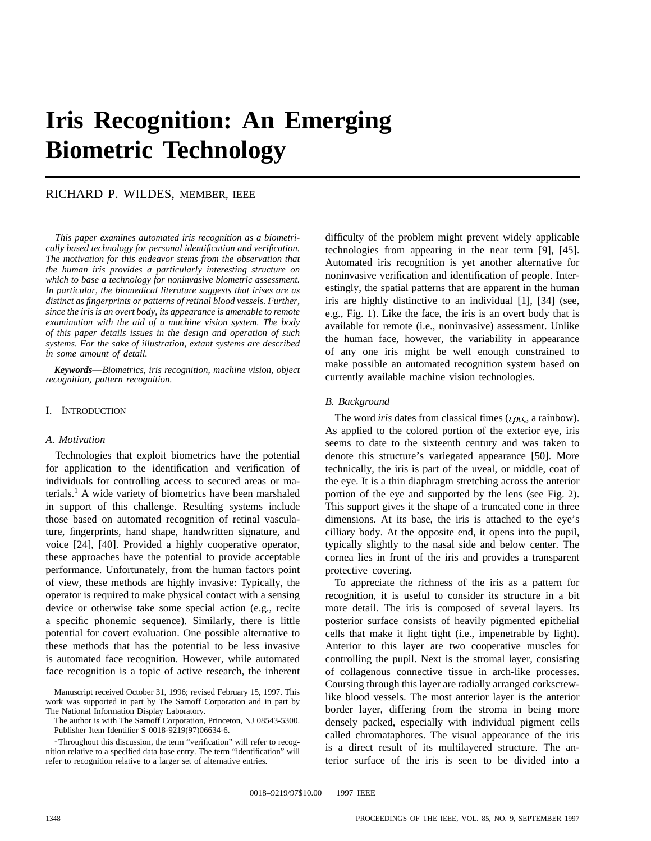# **Iris Recognition: An Emerging Biometric Technology**

## RICHARD P. WILDES, MEMBER, IEEE

*This paper examines automated iris recognition as a biometrically based technology for personal identification and verification. The motivation for this endeavor stems from the observation that the human iris provides a particularly interesting structure on which to base a technology for noninvasive biometric assessment. In particular, the biomedical literature suggests that irises are as distinct as fingerprints or patterns of retinal blood vessels. Further, since the iris is an overt body, its appearance is amenable to remote examination with the aid of a machine vision system. The body of this paper details issues in the design and operation of such systems. For the sake of illustration, extant systems are described in some amount of detail.*

*Keywords—Biometrics, iris recognition, machine vision, object recognition, pattern recognition.*

#### I. INTRODUCTION

#### *A. Motivation*

Technologies that exploit biometrics have the potential for application to the identification and verification of individuals for controlling access to secured areas or materials.<sup>1</sup> A wide variety of biometrics have been marshaled in support of this challenge. Resulting systems include those based on automated recognition of retinal vasculature, fingerprints, hand shape, handwritten signature, and voice [24], [40]. Provided a highly cooperative operator, these approaches have the potential to provide acceptable performance. Unfortunately, from the human factors point of view, these methods are highly invasive: Typically, the operator is required to make physical contact with a sensing device or otherwise take some special action (e.g., recite a specific phonemic sequence). Similarly, there is little potential for covert evaluation. One possible alternative to these methods that has the potential to be less invasive is automated face recognition. However, while automated face recognition is a topic of active research, the inherent difficulty of the problem might prevent widely applicable technologies from appearing in the near term [9], [45]. Automated iris recognition is yet another alternative for noninvasive verification and identification of people. Interestingly, the spatial patterns that are apparent in the human iris are highly distinctive to an individual [1], [34] (see, e.g., Fig. 1). Like the face, the iris is an overt body that is available for remote (i.e., noninvasive) assessment. Unlike the human face, however, the variability in appearance of any one iris might be well enough constrained to make possible an automated recognition system based on currently available machine vision technologies.

### *B. Background*

The word *iris* dates from classical times ( $\iota \rho \iota \varsigma$ , a rainbow). As applied to the colored portion of the exterior eye, iris seems to date to the sixteenth century and was taken to denote this structure's variegated appearance [50]. More technically, the iris is part of the uveal, or middle, coat of the eye. It is a thin diaphragm stretching across the anterior portion of the eye and supported by the lens (see Fig. 2). This support gives it the shape of a truncated cone in three dimensions. At its base, the iris is attached to the eye's cilliary body. At the opposite end, it opens into the pupil, typically slightly to the nasal side and below center. The cornea lies in front of the iris and provides a transparent protective covering.

To appreciate the richness of the iris as a pattern for recognition, it is useful to consider its structure in a bit more detail. The iris is composed of several layers. Its posterior surface consists of heavily pigmented epithelial cells that make it light tight (i.e., impenetrable by light). Anterior to this layer are two cooperative muscles for controlling the pupil. Next is the stromal layer, consisting of collagenous connective tissue in arch-like processes. Coursing through this layer are radially arranged corkscrewlike blood vessels. The most anterior layer is the anterior border layer, differing from the stroma in being more densely packed, especially with individual pigment cells called chromataphores. The visual appearance of the iris is a direct result of its multilayered structure. The anterior surface of the iris is seen to be divided into a

Manuscript received October 31, 1996; revised February 15, 1997. This work was supported in part by The Sarnoff Corporation and in part by The National Information Display Laboratory.

The author is with The Sarnoff Corporation, Princeton, NJ 08543-5300. Publisher Item Identifier S 0018-9219(97)06634-6.

<sup>&</sup>lt;sup>1</sup>Throughout this discussion, the term "verification" will refer to recognition relative to a specified data base entry. The term "identification" will refer to recognition relative to a larger set of alternative entries.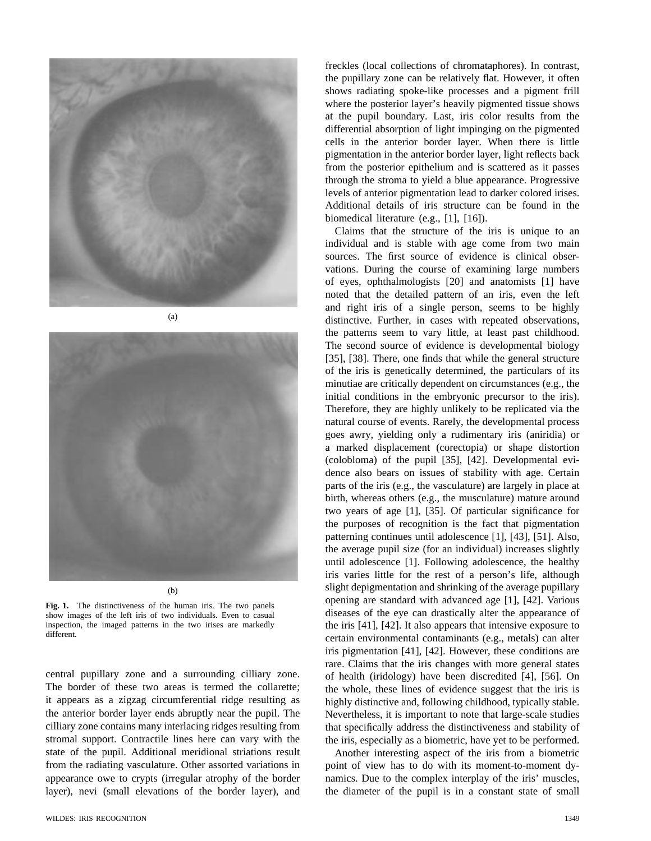

(a)



**Fig. 1.** The distinctiveness of the human iris. The two panels show images of the left iris of two individuals. Even to casual inspection, the imaged patterns in the two irises are markedly different.

central pupillary zone and a surrounding cilliary zone. The border of these two areas is termed the collarette; it appears as a zigzag circumferential ridge resulting as the anterior border layer ends abruptly near the pupil. The cilliary zone contains many interlacing ridges resulting from stromal support. Contractile lines here can vary with the state of the pupil. Additional meridional striations result from the radiating vasculature. Other assorted variations in appearance owe to crypts (irregular atrophy of the border layer), nevi (small elevations of the border layer), and freckles (local collections of chromataphores). In contrast, the pupillary zone can be relatively flat. However, it often shows radiating spoke-like processes and a pigment frill where the posterior layer's heavily pigmented tissue shows at the pupil boundary. Last, iris color results from the differential absorption of light impinging on the pigmented cells in the anterior border layer. When there is little pigmentation in the anterior border layer, light reflects back from the posterior epithelium and is scattered as it passes through the stroma to yield a blue appearance. Progressive levels of anterior pigmentation lead to darker colored irises. Additional details of iris structure can be found in the biomedical literature (e.g., [1], [16]).

Claims that the structure of the iris is unique to an individual and is stable with age come from two main sources. The first source of evidence is clinical observations. During the course of examining large numbers of eyes, ophthalmologists [20] and anatomists [1] have noted that the detailed pattern of an iris, even the left and right iris of a single person, seems to be highly distinctive. Further, in cases with repeated observations, the patterns seem to vary little, at least past childhood. The second source of evidence is developmental biology [35], [38]. There, one finds that while the general structure of the iris is genetically determined, the particulars of its minutiae are critically dependent on circumstances (e.g., the initial conditions in the embryonic precursor to the iris). Therefore, they are highly unlikely to be replicated via the natural course of events. Rarely, the developmental process goes awry, yielding only a rudimentary iris (aniridia) or a marked displacement (corectopia) or shape distortion (colobloma) of the pupil [35], [42]. Developmental evidence also bears on issues of stability with age. Certain parts of the iris (e.g., the vasculature) are largely in place at birth, whereas others (e.g., the musculature) mature around two years of age [1], [35]. Of particular significance for the purposes of recognition is the fact that pigmentation patterning continues until adolescence [1], [43], [51]. Also, the average pupil size (for an individual) increases slightly until adolescence [1]. Following adolescence, the healthy iris varies little for the rest of a person's life, although slight depigmentation and shrinking of the average pupillary opening are standard with advanced age [1], [42]. Various diseases of the eye can drastically alter the appearance of the iris [41], [42]. It also appears that intensive exposure to certain environmental contaminants (e.g., metals) can alter iris pigmentation [41], [42]. However, these conditions are rare. Claims that the iris changes with more general states of health (iridology) have been discredited [4], [56]. On the whole, these lines of evidence suggest that the iris is highly distinctive and, following childhood, typically stable. Nevertheless, it is important to note that large-scale studies that specifically address the distinctiveness and stability of the iris, especially as a biometric, have yet to be performed.

Another interesting aspect of the iris from a biometric point of view has to do with its moment-to-moment dynamics. Due to the complex interplay of the iris' muscles, the diameter of the pupil is in a constant state of small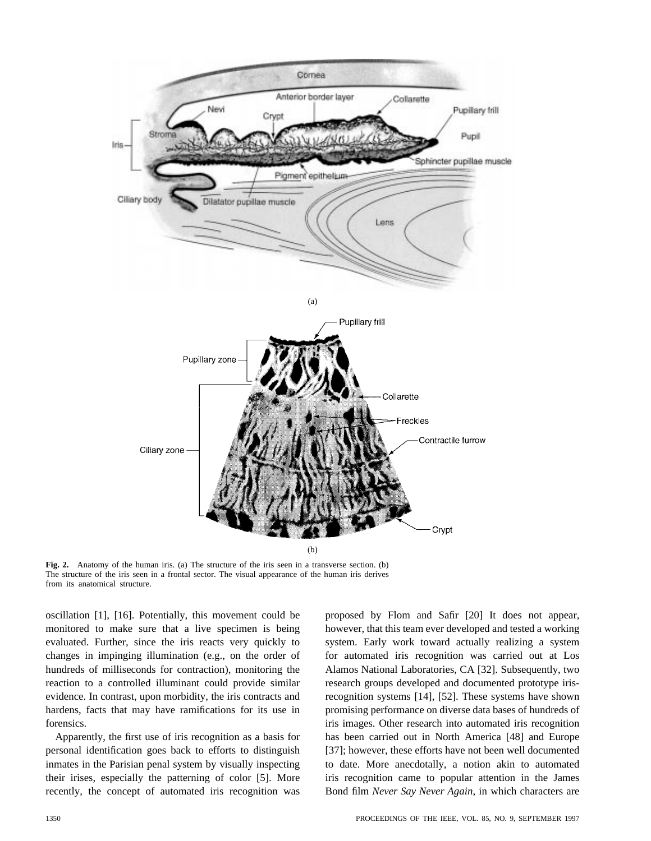

**Fig. 2.** Anatomy of the human iris. (a) The structure of the iris seen in a transverse section. (b) The structure of the iris seen in a frontal sector. The visual appearance of the human iris derives from its anatomical structure.

oscillation [1], [16]. Potentially, this movement could be monitored to make sure that a live specimen is being evaluated. Further, since the iris reacts very quickly to changes in impinging illumination (e.g., on the order of hundreds of milliseconds for contraction), monitoring the reaction to a controlled illuminant could provide similar evidence. In contrast, upon morbidity, the iris contracts and hardens, facts that may have ramifications for its use in forensics.

Apparently, the first use of iris recognition as a basis for personal identification goes back to efforts to distinguish inmates in the Parisian penal system by visually inspecting their irises, especially the patterning of color [5]. More recently, the concept of automated iris recognition was

proposed by Flom and Safir [20] It does not appear, however, that this team ever developed and tested a working system. Early work toward actually realizing a system for automated iris recognition was carried out at Los Alamos National Laboratories, CA [32]. Subsequently, two research groups developed and documented prototype irisrecognition systems [14], [52]. These systems have shown promising performance on diverse data bases of hundreds of iris images. Other research into automated iris recognition has been carried out in North America [48] and Europe [37]; however, these efforts have not been well documented to date. More anecdotally, a notion akin to automated iris recognition came to popular attention in the James Bond film *Never Say Never Again*, in which characters are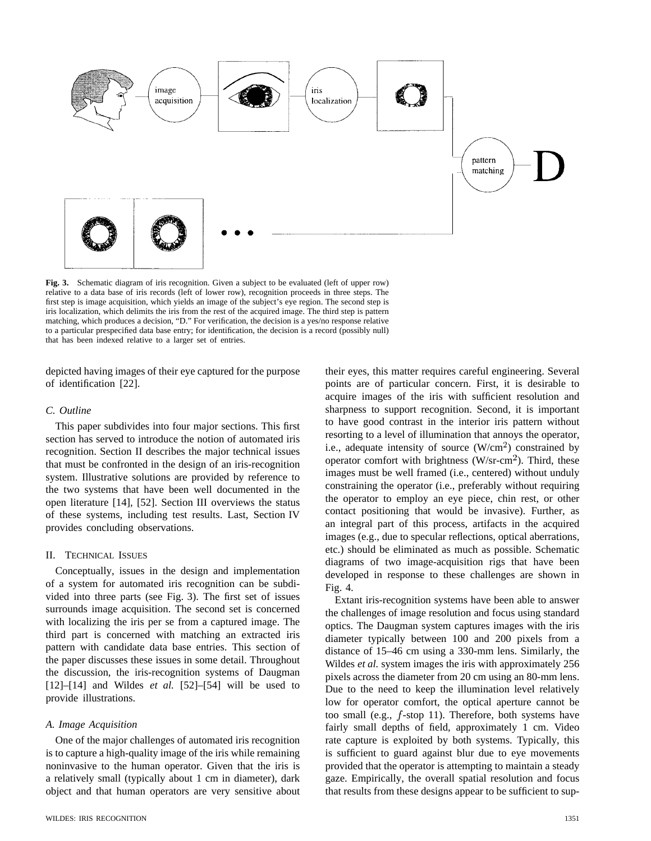

**Fig. 3.** Schematic diagram of iris recognition. Given a subject to be evaluated (left of upper row) relative to a data base of iris records (left of lower row), recognition proceeds in three steps. The first step is image acquisition, which yields an image of the subject's eye region. The second step is iris localization, which delimits the iris from the rest of the acquired image. The third step is pattern matching, which produces a decision, "D." For verification, the decision is a yes/no response relative to a particular prespecified data base entry; for identification, the decision is a record (possibly null) that has been indexed relative to a larger set of entries.

depicted having images of their eye captured for the purpose of identification [22].

# *C. Outline*

This paper subdivides into four major sections. This first section has served to introduce the notion of automated iris recognition. Section II describes the major technical issues that must be confronted in the design of an iris-recognition system. Illustrative solutions are provided by reference to the two systems that have been well documented in the open literature [14], [52]. Section III overviews the status of these systems, including test results. Last, Section IV provides concluding observations.

## II. TECHNICAL ISSUES

Conceptually, issues in the design and implementation of a system for automated iris recognition can be subdivided into three parts (see Fig. 3). The first set of issues surrounds image acquisition. The second set is concerned with localizing the iris per se from a captured image. The third part is concerned with matching an extracted iris pattern with candidate data base entries. This section of the paper discusses these issues in some detail. Throughout the discussion, the iris-recognition systems of Daugman  $[12]$ – $[14]$  and Wildes *et al.*  $[52]$ – $[54]$  will be used to provide illustrations.

#### *A. Image Acquisition*

One of the major challenges of automated iris recognition is to capture a high-quality image of the iris while remaining noninvasive to the human operator. Given that the iris is a relatively small (typically about 1 cm in diameter), dark object and that human operators are very sensitive about their eyes, this matter requires careful engineering. Several points are of particular concern. First, it is desirable to acquire images of the iris with sufficient resolution and sharpness to support recognition. Second, it is important to have good contrast in the interior iris pattern without resorting to a level of illumination that annoys the operator, i.e., adequate intensity of source  $(W/cm<sup>2</sup>)$  constrained by operator comfort with brightness (W/sr-cm<sup>2</sup>). Third, these images must be well framed (i.e., centered) without unduly constraining the operator (i.e., preferably without requiring the operator to employ an eye piece, chin rest, or other contact positioning that would be invasive). Further, as an integral part of this process, artifacts in the acquired images (e.g., due to specular reflections, optical aberrations, etc.) should be eliminated as much as possible. Schematic diagrams of two image-acquisition rigs that have been developed in response to these challenges are shown in Fig. 4.

Extant iris-recognition systems have been able to answer the challenges of image resolution and focus using standard optics. The Daugman system captures images with the iris diameter typically between 100 and 200 pixels from a distance of 15–46 cm using a 330-mm lens. Similarly, the Wildes *et al.* system images the iris with approximately 256 pixels across the diameter from 20 cm using an 80-mm lens. Due to the need to keep the illumination level relatively low for operator comfort, the optical aperture cannot be too small (e.g.,  $f$ -stop 11). Therefore, both systems have fairly small depths of field, approximately 1 cm. Video rate capture is exploited by both systems. Typically, this is sufficient to guard against blur due to eye movements provided that the operator is attempting to maintain a steady gaze. Empirically, the overall spatial resolution and focus that results from these designs appear to be sufficient to sup-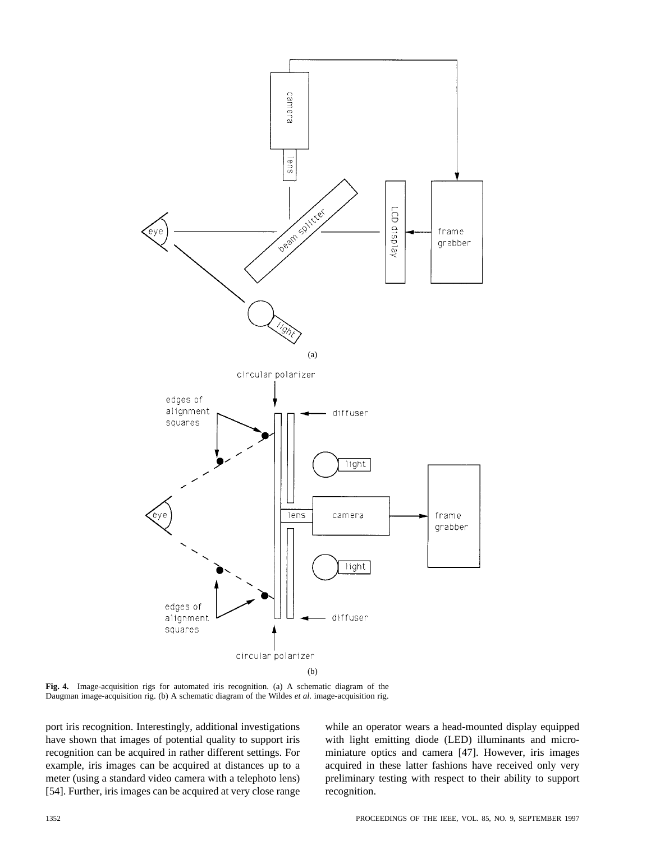

**Fig. 4.** Image-acquisition rigs for automated iris recognition. (a) A schematic diagram of the Daugman image-acquisition rig. (b) A schematic diagram of the Wildes *et al.* image-acquisition rig.

port iris recognition. Interestingly, additional investigations have shown that images of potential quality to support iris recognition can be acquired in rather different settings. For example, iris images can be acquired at distances up to a meter (using a standard video camera with a telephoto lens) [54]. Further, iris images can be acquired at very close range while an operator wears a head-mounted display equipped with light emitting diode (LED) illuminants and microminiature optics and camera [47]. However, iris images acquired in these latter fashions have received only very preliminary testing with respect to their ability to support recognition.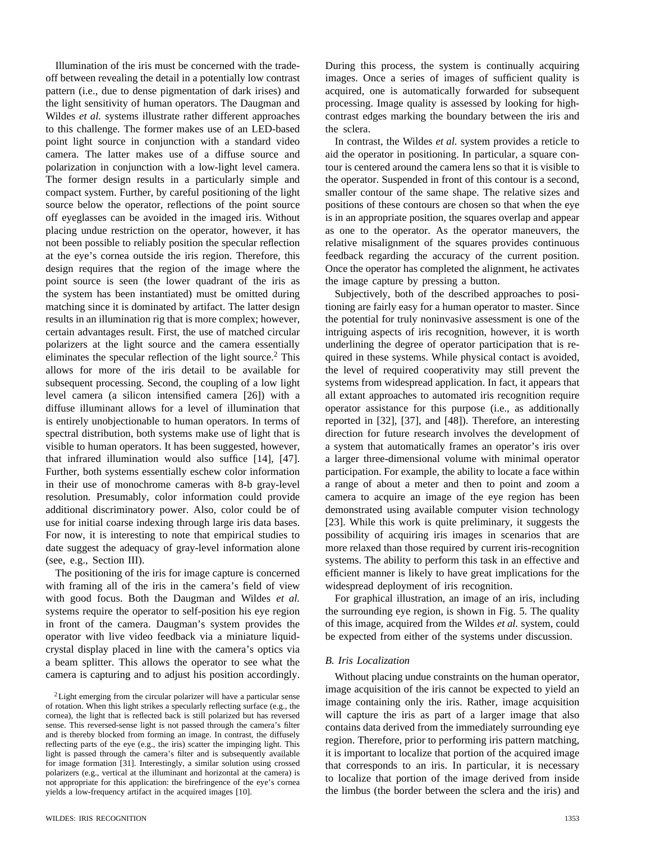Illumination of the iris must be concerned with the tradeoff between revealing the detail in a potentially low contrast pattern (i.e., due to dense pigmentation of dark irises) and the light sensitivity of human operators. The Daugman and Wildes *et al.* systems illustrate rather different approaches to this challenge. The former makes use of an LED-based point light source in conjunction with a standard video camera. The latter makes use of a diffuse source and polarization in conjunction with a low-light level camera. The former design results in a particularly simple and compact system. Further, by careful positioning of the light source below the operator, reflections of the point source off eyeglasses can be avoided in the imaged iris. Without placing undue restriction on the operator, however, it has not been possible to reliably position the specular reflection at the eye's cornea outside the iris region. Therefore, this design requires that the region of the image where the point source is seen (the lower quadrant of the iris as the system has been instantiated) must be omitted during matching since it is dominated by artifact. The latter design results in an illumination rig that is more complex; however, certain advantages result. First, the use of matched circular polarizers at the light source and the camera essentially eliminates the specular reflection of the light source.<sup>2</sup> This allows for more of the iris detail to be available for subsequent processing. Second, the coupling of a low light level camera (a silicon intensified camera [26]) with a diffuse illuminant allows for a level of illumination that is entirely unobjectionable to human operators. In terms of spectral distribution, both systems make use of light that is visible to human operators. It has been suggested, however, that infrared illumination would also suffice [14], [47]. Further, both systems essentially eschew color information in their use of monochrome cameras with 8-b gray-level resolution. Presumably, color information could provide additional discriminatory power. Also, color could be of use for initial coarse indexing through large iris data bases. For now, it is interesting to note that empirical studies to date suggest the adequacy of gray-level information alone (see, e.g., Section III).

The positioning of the iris for image capture is concerned with framing all of the iris in the camera's field of view with good focus. Both the Daugman and Wildes *et al.* systems require the operator to self-position his eye region in front of the camera. Daugman's system provides the operator with live video feedback via a miniature liquidcrystal display placed in line with the camera's optics via a beam splitter. This allows the operator to see what the camera is capturing and to adjust his position accordingly. During this process, the system is continually acquiring images. Once a series of images of sufficient quality is acquired, one is automatically forwarded for subsequent processing. Image quality is assessed by looking for highcontrast edges marking the boundary between the iris and the sclera.

In contrast, the Wildes *et al.* system provides a reticle to aid the operator in positioning. In particular, a square contour is centered around the camera lens so that it is visible to the operator. Suspended in front of this contour is a second, smaller contour of the same shape. The relative sizes and positions of these contours are chosen so that when the eye is in an appropriate position, the squares overlap and appear as one to the operator. As the operator maneuvers, the relative misalignment of the squares provides continuous feedback regarding the accuracy of the current position. Once the operator has completed the alignment, he activates the image capture by pressing a button.

Subjectively, both of the described approaches to positioning are fairly easy for a human operator to master. Since the potential for truly noninvasive assessment is one of the intriguing aspects of iris recognition, however, it is worth underlining the degree of operator participation that is required in these systems. While physical contact is avoided, the level of required cooperativity may still prevent the systems from widespread application. In fact, it appears that all extant approaches to automated iris recognition require operator assistance for this purpose (i.e., as additionally reported in [32], [37], and [48]). Therefore, an interesting direction for future research involves the development of a system that automatically frames an operator's iris over a larger three-dimensional volume with minimal operator participation. For example, the ability to locate a face within a range of about a meter and then to point and zoom a camera to acquire an image of the eye region has been demonstrated using available computer vision technology [23]. While this work is quite preliminary, it suggests the possibility of acquiring iris images in scenarios that are more relaxed than those required by current iris-recognition systems. The ability to perform this task in an effective and efficient manner is likely to have great implications for the widespread deployment of iris recognition.

For graphical illustration, an image of an iris, including the surrounding eye region, is shown in Fig. 5. The quality of this image, acquired from the Wildes *et al.* system, could be expected from either of the systems under discussion.

#### *B. Iris Localization*

Without placing undue constraints on the human operator, image acquisition of the iris cannot be expected to yield an image containing only the iris. Rather, image acquisition will capture the iris as part of a larger image that also contains data derived from the immediately surrounding eye region. Therefore, prior to performing iris pattern matching, it is important to localize that portion of the acquired image that corresponds to an iris. In particular, it is necessary to localize that portion of the image derived from inside the limbus (the border between the sclera and the iris) and

<sup>2</sup>Light emerging from the circular polarizer will have a particular sense of rotation. When this light strikes a specularly reflecting surface (e.g., the cornea), the light that is reflected back is still polarized but has reversed sense. This reversed-sense light is not passed through the camera's filter and is thereby blocked from forming an image. In contrast, the diffusely reflecting parts of the eye (e.g., the iris) scatter the impinging light. This light is passed through the camera's filter and is subsequently available for image formation [31]. Interestingly, a similar solution using crossed polarizers (e.g., vertical at the illuminant and horizontal at the camera) is not appropriate for this application: the birefringence of the eye's cornea yields a low-frequency artifact in the acquired images [10].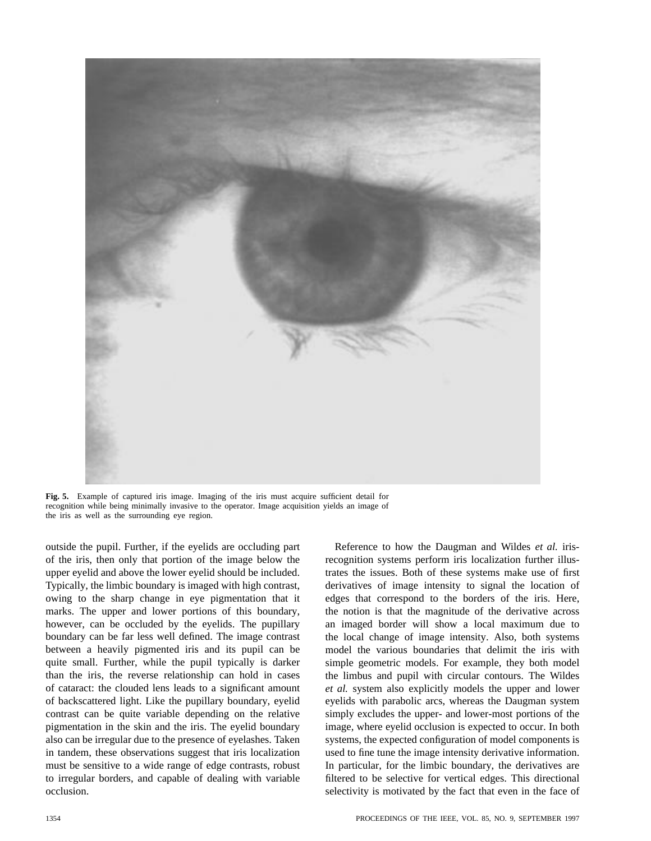

**Fig. 5.** Example of captured iris image. Imaging of the iris must acquire sufficient detail for recognition while being minimally invasive to the operator. Image acquisition yields an image of the iris as well as the surrounding eye region.

outside the pupil. Further, if the eyelids are occluding part of the iris, then only that portion of the image below the upper eyelid and above the lower eyelid should be included. Typically, the limbic boundary is imaged with high contrast, owing to the sharp change in eye pigmentation that it marks. The upper and lower portions of this boundary, however, can be occluded by the eyelids. The pupillary boundary can be far less well defined. The image contrast between a heavily pigmented iris and its pupil can be quite small. Further, while the pupil typically is darker than the iris, the reverse relationship can hold in cases of cataract: the clouded lens leads to a significant amount of backscattered light. Like the pupillary boundary, eyelid contrast can be quite variable depending on the relative pigmentation in the skin and the iris. The eyelid boundary also can be irregular due to the presence of eyelashes. Taken in tandem, these observations suggest that iris localization must be sensitive to a wide range of edge contrasts, robust to irregular borders, and capable of dealing with variable occlusion.

Reference to how the Daugman and Wildes *et al.* irisrecognition systems perform iris localization further illustrates the issues. Both of these systems make use of first derivatives of image intensity to signal the location of edges that correspond to the borders of the iris. Here, the notion is that the magnitude of the derivative across an imaged border will show a local maximum due to the local change of image intensity. Also, both systems model the various boundaries that delimit the iris with simple geometric models. For example, they both model the limbus and pupil with circular contours. The Wildes *et al.* system also explicitly models the upper and lower eyelids with parabolic arcs, whereas the Daugman system simply excludes the upper- and lower-most portions of the image, where eyelid occlusion is expected to occur. In both systems, the expected configuration of model components is used to fine tune the image intensity derivative information. In particular, for the limbic boundary, the derivatives are filtered to be selective for vertical edges. This directional selectivity is motivated by the fact that even in the face of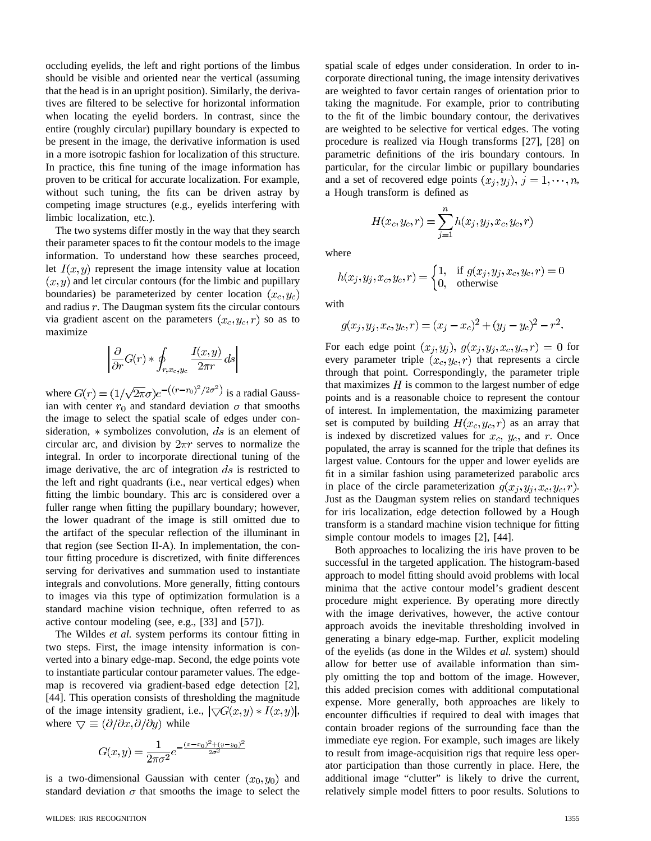occluding eyelids, the left and right portions of the limbus should be visible and oriented near the vertical (assuming that the head is in an upright position). Similarly, the derivatives are filtered to be selective for horizontal information when locating the eyelid borders. In contrast, since the entire (roughly circular) pupillary boundary is expected to be present in the image, the derivative information is used in a more isotropic fashion for localization of this structure. In practice, this fine tuning of the image information has proven to be critical for accurate localization. For example, without such tuning, the fits can be driven astray by competing image structures (e.g., eyelids interfering with limbic localization, etc.).

The two systems differ mostly in the way that they search their parameter spaces to fit the contour models to the image information. To understand how these searches proceed, let  $I(x, y)$  represent the image intensity value at location  $(x, y)$  and let circular contours (for the limbic and pupillary boundaries) be parameterized by center location  $(x_c, y_c)$ and radius  $r$ . The Daugman system fits the circular contours via gradient ascent on the parameters  $(x_c, y_c, r)$  so as to maximize

$$
\left| \frac{\partial}{\partial r} G(r) * \oint_{r,x_c,y_c} \frac{I(x,y)}{2\pi r} ds \right|
$$

where  $G(r) = (1/\sqrt{2\pi}\sigma)e^{-((r-r_0)^2/2\sigma^2)}$  is a radial Gaussian with center  $r_0$  and standard deviation  $\sigma$  that smooths the image to select the spatial scale of edges under consideration,  $*$  symbolizes convolution,  $ds$  is an element of circular arc, and division by  $2\pi r$  serves to normalize the integral. In order to incorporate directional tuning of the image derivative, the arc of integration  $ds$  is restricted to the left and right quadrants (i.e., near vertical edges) when fitting the limbic boundary. This arc is considered over a fuller range when fitting the pupillary boundary; however, the lower quadrant of the image is still omitted due to the artifact of the specular reflection of the illuminant in that region (see Section II-A). In implementation, the contour fitting procedure is discretized, with finite differences serving for derivatives and summation used to instantiate integrals and convolutions. More generally, fitting contours to images via this type of optimization formulation is a standard machine vision technique, often referred to as active contour modeling (see, e.g., [33] and [57]).

The Wildes *et al.* system performs its contour fitting in two steps. First, the image intensity information is converted into a binary edge-map. Second, the edge points vote to instantiate particular contour parameter values. The edgemap is recovered via gradient-based edge detection [2], [44]. This operation consists of thresholding the magnitude of the image intensity gradient, i.e.,  $|\nabla G(x,y) * I(x,y)|$ , where  $\bigtriangledown \equiv (\partial/\partial x, \partial/\partial y)$  while

$$
G(x,y) = \frac{1}{2\pi\sigma^2} e^{-\frac{(x-x_0)^2 + (y-y_0)^2}{2\sigma^2}}
$$

is a two-dimensional Gaussian with center  $(x_0, y_0)$  and standard deviation  $\sigma$  that smooths the image to select the spatial scale of edges under consideration. In order to incorporate directional tuning, the image intensity derivatives are weighted to favor certain ranges of orientation prior to taking the magnitude. For example, prior to contributing to the fit of the limbic boundary contour, the derivatives are weighted to be selective for vertical edges. The voting procedure is realized via Hough transforms [27], [28] on parametric definitions of the iris boundary contours. In particular, for the circular limbic or pupillary boundaries and a set of recovered edge points  $(x_i, y_i), j = 1, \dots, n$ , a Hough transform is defined as

$$
H(x_c, y_c, r) = \sum_{j=1}^{n} h(x_j, y_j, x_c, y_c, r)
$$

where

$$
h(x_j, y_j, x_c, y_c, r) = \begin{cases} 1, & \text{if } g(x_j, y_j, x_c, y_c, r) = 0\\ 0, & \text{otherwise} \end{cases}
$$

with

$$
g(x_j, y_j, x_c, y_c, r) = (x_j - x_c)^2 + (y_j - y_c)^2 - r^2.
$$

For each edge point  $(x_j, y_j)$ ,  $g(x_j, y_j, x_c, y_c, r) = 0$  for every parameter triple  $(x_c, y_c, r)$  that represents a circle through that point. Correspondingly, the parameter triple that maximizes  $H$  is common to the largest number of edge points and is a reasonable choice to represent the contour of interest. In implementation, the maximizing parameter set is computed by building  $H(x_c, y_c, r)$  as an array that is indexed by discretized values for  $x_c$ ,  $y_c$ , and r. Once populated, the array is scanned for the triple that defines its largest value. Contours for the upper and lower eyelids are fit in a similar fashion using parameterized parabolic arcs in place of the circle parameterization  $g(x_i, y_i, x_c, y_c, r)$ . Just as the Daugman system relies on standard techniques for iris localization, edge detection followed by a Hough transform is a standard machine vision technique for fitting simple contour models to images [2], [44].

Both approaches to localizing the iris have proven to be successful in the targeted application. The histogram-based approach to model fitting should avoid problems with local minima that the active contour model's gradient descent procedure might experience. By operating more directly with the image derivatives, however, the active contour approach avoids the inevitable thresholding involved in generating a binary edge-map. Further, explicit modeling of the eyelids (as done in the Wildes *et al.* system) should allow for better use of available information than simply omitting the top and bottom of the image. However, this added precision comes with additional computational expense. More generally, both approaches are likely to encounter difficulties if required to deal with images that contain broader regions of the surrounding face than the immediate eye region. For example, such images are likely to result from image-acquisition rigs that require less operator participation than those currently in place. Here, the additional image "clutter" is likely to drive the current, relatively simple model fitters to poor results. Solutions to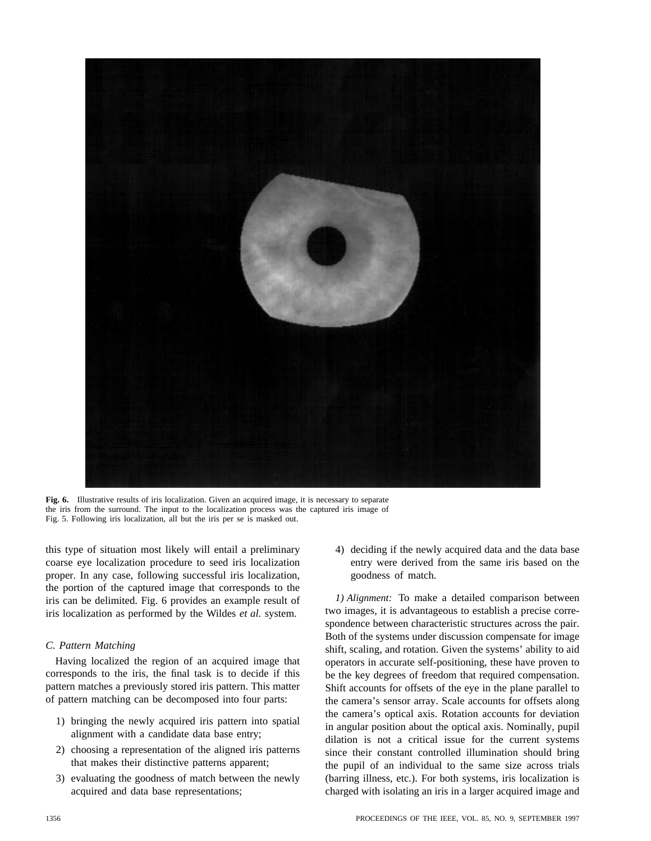

**Fig. 6.** Illustrative results of iris localization. Given an acquired image, it is necessary to separate the iris from the surround. The input to the localization process was the captured iris image of Fig. 5. Following iris localization, all but the iris per se is masked out.

this type of situation most likely will entail a preliminary coarse eye localization procedure to seed iris localization proper. In any case, following successful iris localization, the portion of the captured image that corresponds to the iris can be delimited. Fig. 6 provides an example result of iris localization as performed by the Wildes *et al.* system.

## *C. Pattern Matching*

Having localized the region of an acquired image that corresponds to the iris, the final task is to decide if this pattern matches a previously stored iris pattern. This matter of pattern matching can be decomposed into four parts:

- 1) bringing the newly acquired iris pattern into spatial alignment with a candidate data base entry;
- 2) choosing a representation of the aligned iris patterns that makes their distinctive patterns apparent;
- 3) evaluating the goodness of match between the newly acquired and data base representations;

4) deciding if the newly acquired data and the data base entry were derived from the same iris based on the goodness of match.

*1) Alignment:* To make a detailed comparison between two images, it is advantageous to establish a precise correspondence between characteristic structures across the pair. Both of the systems under discussion compensate for image shift, scaling, and rotation. Given the systems' ability to aid operators in accurate self-positioning, these have proven to be the key degrees of freedom that required compensation. Shift accounts for offsets of the eye in the plane parallel to the camera's sensor array. Scale accounts for offsets along the camera's optical axis. Rotation accounts for deviation in angular position about the optical axis. Nominally, pupil dilation is not a critical issue for the current systems since their constant controlled illumination should bring the pupil of an individual to the same size across trials (barring illness, etc.). For both systems, iris localization is charged with isolating an iris in a larger acquired image and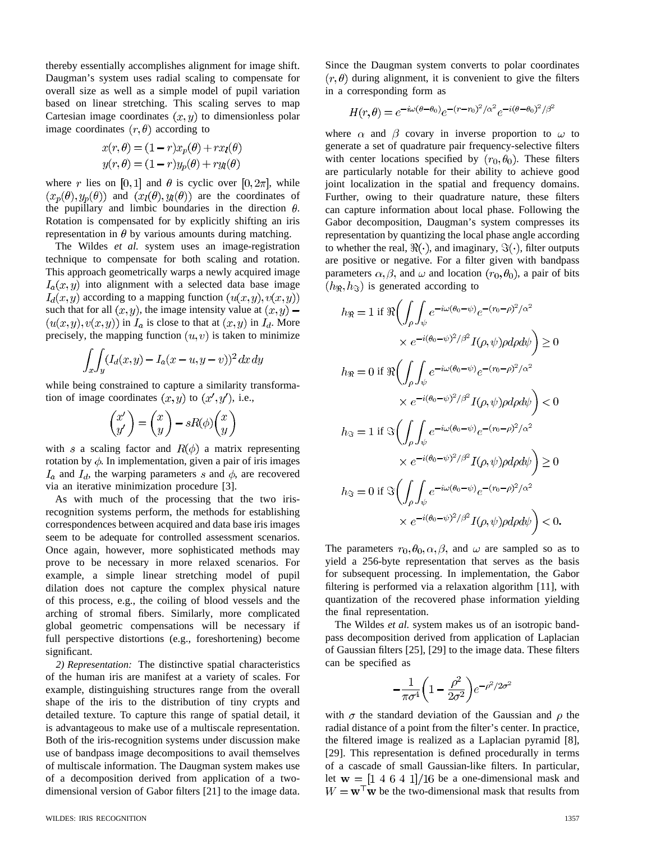thereby essentially accomplishes alignment for image shift. Daugman's system uses radial scaling to compensate for overall size as well as a simple model of pupil variation based on linear stretching. This scaling serves to map Cartesian image coordinates  $(x, y)$  to dimensionless polar image coordinates  $(r, \theta)$  according to

$$
x(r, \theta) = (1 - r)x_p(\theta) + rx_l(\theta)
$$
  

$$
y(r, \theta) = (1 - r)y_p(\theta) + ry_l(\theta)
$$

where r lies on [0, 1] and  $\theta$  is cyclic over [0,  $2\pi$ ], while  $(x_p(\theta), y_p(\theta))$  and  $(x_l(\theta), y_l(\theta))$  are the coordinates of the pupillary and limbic boundaries in the direction  $\theta$ . Rotation is compensated for by explicitly shifting an iris representation in  $\theta$  by various amounts during matching.

The Wildes *et al.* system uses an image-registration technique to compensate for both scaling and rotation. This approach geometrically warps a newly acquired image  $I_a(x, y)$  into alignment with a selected data base image  $I_d(x, y)$  according to a mapping function  $(u(x, y), v(x, y))$ such that for all  $(x, y)$ , the image intensity value at  $(x, y)$  –  $(u(x, y), v(x, y))$  in  $I_a$  is close to that at  $(x, y)$  in  $I_a$ . More precisely, the mapping function  $(u, v)$  is taken to minimize

$$
\int_x \int_y (I_d(x,y) - I_a(x-u,y-v))^2 dx dy
$$

while being constrained to capture a similarity transformation of image coordinates  $(x, y)$  to  $(x', y')$ , i.e.,

$$
\begin{pmatrix} x' \\ y' \end{pmatrix} = \begin{pmatrix} x \\ y \end{pmatrix} - sR(\phi) \begin{pmatrix} x \\ y \end{pmatrix}
$$

with s a scaling factor and  $R(\phi)$  a matrix representing rotation by  $\phi$ . In implementation, given a pair of iris images  $I_a$  and  $I_d$ , the warping parameters s and  $\phi$ , are recovered via an iterative minimization procedure [3].

As with much of the processing that the two irisrecognition systems perform, the methods for establishing correspondences between acquired and data base iris images seem to be adequate for controlled assessment scenarios. Once again, however, more sophisticated methods may prove to be necessary in more relaxed scenarios. For example, a simple linear stretching model of pupil dilation does not capture the complex physical nature of this process, e.g., the coiling of blood vessels and the arching of stromal fibers. Similarly, more complicated global geometric compensations will be necessary if full perspective distortions (e.g., foreshortening) become significant.

*2) Representation:* The distinctive spatial characteristics of the human iris are manifest at a variety of scales. For example, distinguishing structures range from the overall shape of the iris to the distribution of tiny crypts and detailed texture. To capture this range of spatial detail, it is advantageous to make use of a multiscale representation. Both of the iris-recognition systems under discussion make use of bandpass image decompositions to avail themselves of multiscale information. The Daugman system makes use of a decomposition derived from application of a twodimensional version of Gabor filters [21] to the image data.

Since the Daugman system converts to polar coordinates  $(r, \theta)$  during alignment, it is convenient to give the filters in a corresponding form as

$$
H(r,\theta) = e^{-i\omega(\theta-\theta_0)}e^{-(r-r_0)^2/\alpha^2}e^{-i(\theta-\theta_0)^2/\beta^2}
$$

where  $\alpha$  and  $\beta$  covary in inverse proportion to  $\omega$  to generate a set of quadrature pair frequency-selective filters with center locations specified by  $(r_0, \theta_0)$ . These filters are particularly notable for their ability to achieve good joint localization in the spatial and frequency domains. Further, owing to their quadrature nature, these filters can capture information about local phase. Following the Gabor decomposition, Daugman's system compresses its representation by quantizing the local phase angle according to whether the real,  $\Re(\cdot)$ , and imaginary,  $\Im(\cdot)$ , filter outputs are positive or negative. For a filter given with bandpass parameters  $\alpha$ ,  $\beta$ , and  $\omega$  and location  $(r_0, \theta_0)$ , a pair of bits  $(h_{\Re}, h_{\Im})$  is generated according to

$$
h_{\Re} = 1 \text{ if } \Re \left( \int_{\rho} \int_{\psi} e^{-i\omega(\theta_0 - \psi)} e^{-(r_0 - \rho)^2/\alpha^2} \times e^{-i(\theta_0 - \psi)^2/\beta^2} I(\rho, \psi) \rho d\rho d\psi \right) \ge 0
$$
  
\n
$$
h_{\Re} = 0 \text{ if } \Re \left( \int_{\rho} \int_{\psi} e^{-i\omega(\theta_0 - \psi)} e^{-(r_0 - \rho)^2/\alpha^2} \times e^{-i(\theta_0 - \psi)^2/\beta^2} I(\rho, \psi) \rho d\rho d\psi \right) < 0
$$
  
\n
$$
h_{\Im} = 1 \text{ if } \Im \left( \int_{\rho} \int_{\psi} e^{-i\omega(\theta_0 - \psi)} e^{-(r_0 - \rho)^2/\alpha^2} \times e^{-i(\theta_0 - \psi)^2/\beta^2} I(\rho, \psi) \rho d\rho d\psi \right) \ge 0
$$
  
\n
$$
h_{\Im} = 0 \text{ if } \Im \left( \int_{\rho} \int_{\psi} e^{-i\omega(\theta_0 - \psi)} e^{-(r_0 - \rho)^2/\alpha^2} \times e^{-i(\theta_0 - \psi)^2/\beta^2} I(\rho, \psi) \rho d\rho d\psi \right) < 0.
$$

The parameters  $r_0, \theta_0, \alpha, \beta$ , and  $\omega$  are sampled so as to yield a 256-byte representation that serves as the basis for subsequent processing. In implementation, the Gabor filtering is performed via a relaxation algorithm [11], with quantization of the recovered phase information yielding the final representation.

The Wildes *et al.* system makes us of an isotropic bandpass decomposition derived from application of Laplacian of Gaussian filters [25], [29] to the image data. These filters can be specified as

$$
\frac{1}{\pi\sigma^4} \bigg( 1 - \frac{\rho^2}{2\sigma^2} \bigg) e^{-\rho^2/2\sigma^2}
$$

with  $\sigma$  the standard deviation of the Gaussian and  $\rho$  the radial distance of a point from the filter's center. In practice, the filtered image is realized as a Laplacian pyramid [8], [29]. This representation is defined procedurally in terms of a cascade of small Gaussian-like filters. In particular, let  $w = \begin{bmatrix} 1 & 4 & 6 & 4 & 1 \end{bmatrix}$  (16 be a one-dimensional mask and  $W = \mathbf{w}^\top \mathbf{w}$  be the two-dimensional mask that results from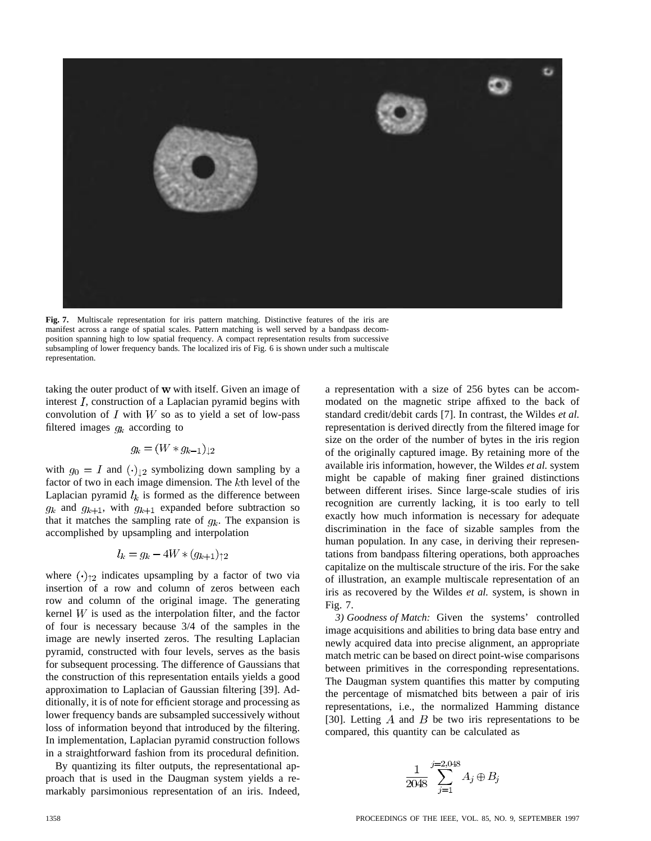

**Fig. 7.** Multiscale representation for iris pattern matching. Distinctive features of the iris are manifest across a range of spatial scales. Pattern matching is well served by a bandpass decomposition spanning high to low spatial frequency. A compact representation results from successive subsampling of lower frequency bands. The localized iris of Fig. 6 is shown under such a multiscale representation.

taking the outer product of w with itself. Given an image of interest  $I$ , construction of a Laplacian pyramid begins with convolution of  $I$  with  $W$  so as to yield a set of low-pass filtered images  $g_k$  according to

$$
g_k = (W * g_{k-1})_{\downarrow 2}
$$

with  $g_0 = I$  and  $(\cdot)_{12}$  symbolizing down sampling by a factor of two in each image dimension. The  $k$ th level of the Laplacian pyramid  $l_k$  is formed as the difference between  $g_k$  and  $g_{k+1}$ , with  $g_{k+1}$  expanded before subtraction so that it matches the sampling rate of  $g_k$ . The expansion is accomplished by upsampling and interpolation

$$
l_k = g_k - 4W * (g_{k+1})_{\uparrow 2}
$$

where  $(\cdot)_{\uparrow 2}$  indicates upsampling by a factor of two via insertion of a row and column of zeros between each row and column of the original image. The generating kernel  $W$  is used as the interpolation filter, and the factor of four is necessary because 3/4 of the samples in the image are newly inserted zeros. The resulting Laplacian pyramid, constructed with four levels, serves as the basis for subsequent processing. The difference of Gaussians that the construction of this representation entails yields a good approximation to Laplacian of Gaussian filtering [39]. Additionally, it is of note for efficient storage and processing as lower frequency bands are subsampled successively without loss of information beyond that introduced by the filtering. In implementation, Laplacian pyramid construction follows in a straightforward fashion from its procedural definition.

By quantizing its filter outputs, the representational approach that is used in the Daugman system yields a remarkably parsimonious representation of an iris. Indeed, a representation with a size of 256 bytes can be accommodated on the magnetic stripe affixed to the back of standard credit/debit cards [7]. In contrast, the Wildes *et al.* representation is derived directly from the filtered image for size on the order of the number of bytes in the iris region of the originally captured image. By retaining more of the available iris information, however, the Wildes *et al.* system might be capable of making finer grained distinctions between different irises. Since large-scale studies of iris recognition are currently lacking, it is too early to tell exactly how much information is necessary for adequate discrimination in the face of sizable samples from the human population. In any case, in deriving their representations from bandpass filtering operations, both approaches capitalize on the multiscale structure of the iris. For the sake of illustration, an example multiscale representation of an iris as recovered by the Wildes *et al.* system, is shown in Fig. 7.

*3) Goodness of Match:* Given the systems' controlled image acquisitions and abilities to bring data base entry and newly acquired data into precise alignment, an appropriate match metric can be based on direct point-wise comparisons between primitives in the corresponding representations. The Daugman system quantifies this matter by computing the percentage of mismatched bits between a pair of iris representations, i.e., the normalized Hamming distance [30]. Letting A and B be two iris representations to be compared, this quantity can be calculated as

$$
\frac{1}{2048} \sum_{j=1}^{j=2,048} A_j \oplus B_j
$$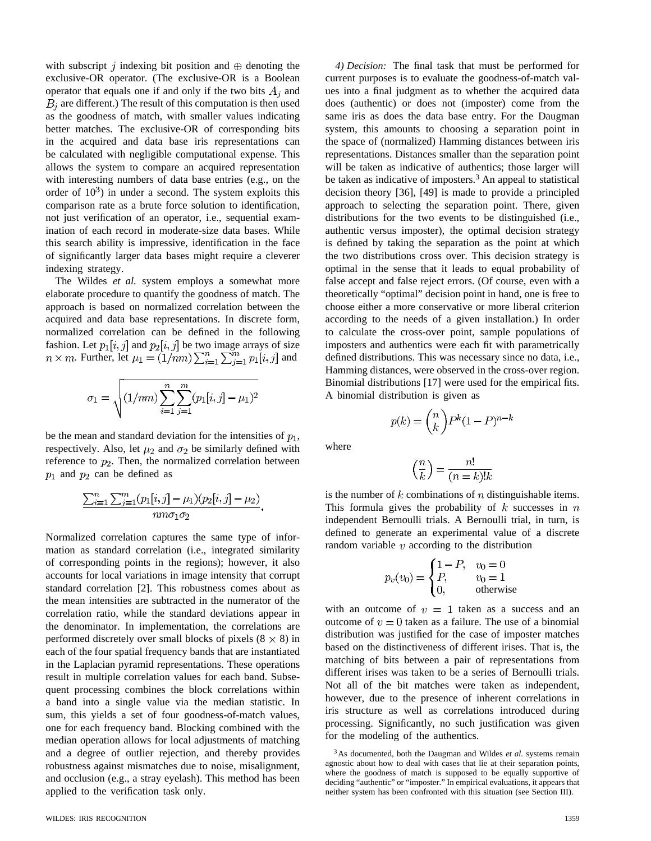with subscript *i* indexing bit position and  $\oplus$  denoting the exclusive-OR operator. (The exclusive-OR is a Boolean operator that equals one if and only if the two bits  $A_i$  and  $B_i$  are different.) The result of this computation is then used as the goodness of match, with smaller values indicating better matches. The exclusive-OR of corresponding bits in the acquired and data base iris representations can be calculated with negligible computational expense. This allows the system to compare an acquired representation with interesting numbers of data base entries (e.g., on the order of  $10<sup>3</sup>$ ) in under a second. The system exploits this comparison rate as a brute force solution to identification, not just verification of an operator, i.e., sequential examination of each record in moderate-size data bases. While this search ability is impressive, identification in the face of significantly larger data bases might require a cleverer indexing strategy.

The Wildes *et al.* system employs a somewhat more elaborate procedure to quantify the goodness of match. The approach is based on normalized correlation between the acquired and data base representations. In discrete form, normalized correlation can be defined in the following fashion. Let  $p_1[i, j]$  and  $p_2[i, j]$  be two image arrays of size . Further, let  $\mu_1 = (1/nm) \sum_{i=1}^n \sum_{i=1}^m p_i[i,j]$  and

$$
\sigma_1 = \sqrt{(1/nm)\sum_{i=1}^{n}\sum_{j=1}^{m}(p_1[i,j]-\mu_1)^2}
$$

be the mean and standard deviation for the intensities of  $p_1$ , respectively. Also, let  $\mu_2$  and  $\sigma_2$  be similarly defined with reference to  $p_2$ . Then, the normalized correlation between  $p_1$  and  $p_2$  can be defined as

$$
\frac{\sum_{i=1}^{n} \sum_{j=1}^{m} (p_1[i,j] - \mu_1)(p_2[i,j] - \mu_2)}{nm\sigma_1\sigma_2}
$$

Normalized correlation captures the same type of information as standard correlation (i.e., integrated similarity of corresponding points in the regions); however, it also accounts for local variations in image intensity that corrupt standard correlation [2]. This robustness comes about as the mean intensities are subtracted in the numerator of the correlation ratio, while the standard deviations appear in the denominator. In implementation, the correlations are performed discretely over small blocks of pixels  $(8 \times 8)$  in each of the four spatial frequency bands that are instantiated in the Laplacian pyramid representations. These operations result in multiple correlation values for each band. Subsequent processing combines the block correlations within a band into a single value via the median statistic. In sum, this yields a set of four goodness-of-match values, one for each frequency band. Blocking combined with the median operation allows for local adjustments of matching and a degree of outlier rejection, and thereby provides robustness against mismatches due to noise, misalignment, and occlusion (e.g., a stray eyelash). This method has been applied to the verification task only.

*4) Decision:* The final task that must be performed for current purposes is to evaluate the goodness-of-match values into a final judgment as to whether the acquired data does (authentic) or does not (imposter) come from the same iris as does the data base entry. For the Daugman system, this amounts to choosing a separation point in the space of (normalized) Hamming distances between iris representations. Distances smaller than the separation point will be taken as indicative of authentics; those larger will be taken as indicative of imposters. $3$  An appeal to statistical decision theory [36], [49] is made to provide a principled approach to selecting the separation point. There, given distributions for the two events to be distinguished (i.e., authentic versus imposter), the optimal decision strategy is defined by taking the separation as the point at which the two distributions cross over. This decision strategy is optimal in the sense that it leads to equal probability of false accept and false reject errors. (Of course, even with a theoretically "optimal" decision point in hand, one is free to choose either a more conservative or more liberal criterion according to the needs of a given installation.) In order to calculate the cross-over point, sample populations of imposters and authentics were each fit with parametrically defined distributions. This was necessary since no data, i.e., Hamming distances, were observed in the cross-over region. Binomial distributions [17] were used for the empirical fits. A binomial distribution is given as

$$
p(k) = \binom{n}{k} P^k (1 - P)^{n - k}
$$

where

$$
\left(\frac{n}{k}\right)=\frac{n!}{(n-k)!k}
$$

is the number of  $k$  combinations of  $n$  distinguishable items. This formula gives the probability of  $k$  successes in  $n$ independent Bernoulli trials. A Bernoulli trial, in turn, is defined to generate an experimental value of a discrete random variable  $v$  according to the distribution

$$
p_v(v_0) = \begin{cases} 1-P, & v_0 = 0\\ P, & v_0 = 1\\ 0, & \text{otherwise} \end{cases}
$$

with an outcome of  $v = 1$  taken as a success and an outcome of  $v = 0$  taken as a failure. The use of a binomial distribution was justified for the case of imposter matches based on the distinctiveness of different irises. That is, the matching of bits between a pair of representations from different irises was taken to be a series of Bernoulli trials. Not all of the bit matches were taken as independent, however, due to the presence of inherent correlations in iris structure as well as correlations introduced during processing. Significantly, no such justification was given for the modeling of the authentics.

<sup>3</sup>As documented, both the Daugman and Wildes *et al.* systems remain agnostic about how to deal with cases that lie at their separation points, where the goodness of match is supposed to be equally supportive of deciding "authentic" or "imposter." In empirical evaluations, it appears that neither system has been confronted with this situation (see Section III).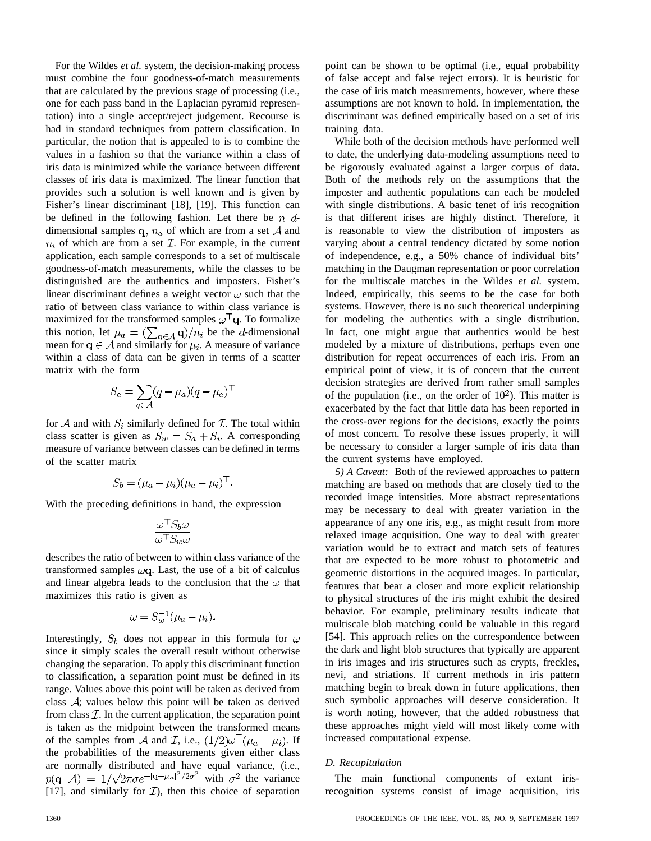For the Wildes *et al.* system, the decision-making process must combine the four goodness-of-match measurements that are calculated by the previous stage of processing (i.e., one for each pass band in the Laplacian pyramid representation) into a single accept/reject judgement. Recourse is had in standard techniques from pattern classification. In particular, the notion that is appealed to is to combine the values in a fashion so that the variance within a class of iris data is minimized while the variance between different classes of iris data is maximized. The linear function that provides such a solution is well known and is given by Fisher's linear discriminant [18], [19]. This function can be defined in the following fashion. Let there be  $n d$ dimensional samples q,  $n_a$  of which are from a set A and  $n_i$  of which are from a set  $\mathcal I$ . For example, in the current application, each sample corresponds to a set of multiscale goodness-of-match measurements, while the classes to be distinguished are the authentics and imposters. Fisher's linear discriminant defines a weight vector  $\omega$  such that the ratio of between class variance to within class variance is maximized for the transformed samples  $\omega^{\mathsf{T}}\mathbf{q}$ . To formalize this notion, let  $\mu_a = (\sum_{\mathbf{q} \in \mathcal{A}} \mathbf{q})/n_i$  be the d-dimensional mean for  $q \in A$  and similarly for  $\mu_i$ . A measure of variance within a class of data can be given in terms of a scatter matrix with the form

$$
S_a = \sum_{q \in \mathcal{A}} (q - \mu_a) (q - \mu_a)^\top
$$

for  $A$  and with  $S_i$  similarly defined for  $I$ . The total within class scatter is given as  $S_w = S_a + S_i$ . A corresponding measure of variance between classes can be defined in terms of the scatter matrix

$$
S_b = (\mu_a - \mu_i)(\mu_a - \mu_i)^\top.
$$

With the preceding definitions in hand, the expression

$$
\frac{\omega^{\top} S_b \omega}{\omega^{\top} S_w \omega}
$$

describes the ratio of between to within class variance of the transformed samples  $\omega$ q. Last, the use of a bit of calculus and linear algebra leads to the conclusion that the  $\omega$  that maximizes this ratio is given as

$$
\omega = S_w^{-1}(\mu_a - \mu_i).
$$

Interestingly,  $S_b$  does not appear in this formula for  $\omega$ since it simply scales the overall result without otherwise changing the separation. To apply this discriminant function to classification, a separation point must be defined in its range. Values above this point will be taken as derived from class  $\mathcal{A}$ ; values below this point will be taken as derived from class  $\mathcal I$ . In the current application, the separation point is taken as the midpoint between the transformed means of the samples from A and T, i.e.,  $(1/2)\omega^{\dagger}(\mu_a + \mu_i)$ . If the probabilities of the measurements given either class are normally distributed and have equal variance, (i.e.,  $p(\mathbf{q}|\mathcal{A}) = 1/\sqrt{2\pi}\sigma e^{-|\mathbf{q}-\mu_a|^2/2\sigma^2}$  with  $\sigma^2$  the variance [17], and similarly for  $I$ ), then this choice of separation

point can be shown to be optimal (i.e., equal probability of false accept and false reject errors). It is heuristic for the case of iris match measurements, however, where these assumptions are not known to hold. In implementation, the discriminant was defined empirically based on a set of iris training data.

While both of the decision methods have performed well to date, the underlying data-modeling assumptions need to be rigorously evaluated against a larger corpus of data. Both of the methods rely on the assumptions that the imposter and authentic populations can each be modeled with single distributions. A basic tenet of iris recognition is that different irises are highly distinct. Therefore, it is reasonable to view the distribution of imposters as varying about a central tendency dictated by some notion of independence, e.g., a 50% chance of individual bits' matching in the Daugman representation or poor correlation for the multiscale matches in the Wildes *et al.* system. Indeed, empirically, this seems to be the case for both systems. However, there is no such theoretical underpining for modeling the authentics with a single distribution. In fact, one might argue that authentics would be best modeled by a mixture of distributions, perhaps even one distribution for repeat occurrences of each iris. From an empirical point of view, it is of concern that the current decision strategies are derived from rather small samples of the population (i.e., on the order of  $10<sup>2</sup>$ ). This matter is exacerbated by the fact that little data has been reported in the cross-over regions for the decisions, exactly the points of most concern. To resolve these issues properly, it will be necessary to consider a larger sample of iris data than the current systems have employed.

*5) A Caveat:* Both of the reviewed approaches to pattern matching are based on methods that are closely tied to the recorded image intensities. More abstract representations may be necessary to deal with greater variation in the appearance of any one iris, e.g., as might result from more relaxed image acquisition. One way to deal with greater variation would be to extract and match sets of features that are expected to be more robust to photometric and geometric distortions in the acquired images. In particular, features that bear a closer and more explicit relationship to physical structures of the iris might exhibit the desired behavior. For example, preliminary results indicate that multiscale blob matching could be valuable in this regard [54]. This approach relies on the correspondence between the dark and light blob structures that typically are apparent in iris images and iris structures such as crypts, freckles, nevi, and striations. If current methods in iris pattern matching begin to break down in future applications, then such symbolic approaches will deserve consideration. It is worth noting, however, that the added robustness that these approaches might yield will most likely come with increased computational expense.

#### *D. Recapitulation*

The main functional components of extant irisrecognition systems consist of image acquisition, iris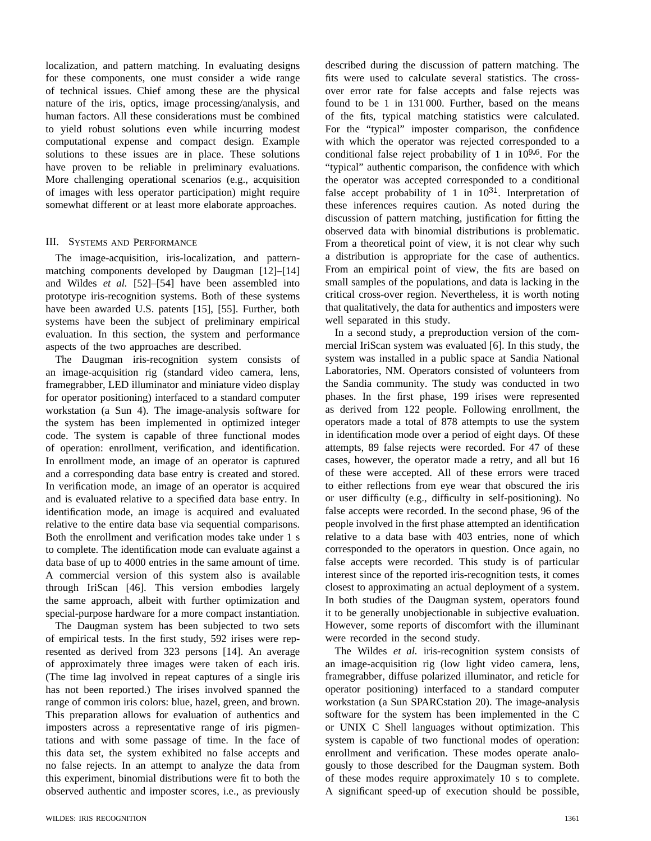localization, and pattern matching. In evaluating designs for these components, one must consider a wide range of technical issues. Chief among these are the physical nature of the iris, optics, image processing/analysis, and human factors. All these considerations must be combined to yield robust solutions even while incurring modest computational expense and compact design. Example solutions to these issues are in place. These solutions have proven to be reliable in preliminary evaluations. More challenging operational scenarios (e.g., acquisition of images with less operator participation) might require somewhat different or at least more elaborate approaches.

## III. SYSTEMS AND PERFORMANCE

The image-acquisition, iris-localization, and patternmatching components developed by Daugman [12]–[14] and Wildes *et al.* [52]–[54] have been assembled into prototype iris-recognition systems. Both of these systems have been awarded U.S. patents [15], [55]. Further, both systems have been the subject of preliminary empirical evaluation. In this section, the system and performance aspects of the two approaches are described.

The Daugman iris-recognition system consists of an image-acquisition rig (standard video camera, lens, framegrabber, LED illuminator and miniature video display for operator positioning) interfaced to a standard computer workstation (a Sun 4). The image-analysis software for the system has been implemented in optimized integer code. The system is capable of three functional modes of operation: enrollment, verification, and identification. In enrollment mode, an image of an operator is captured and a corresponding data base entry is created and stored. In verification mode, an image of an operator is acquired and is evaluated relative to a specified data base entry. In identification mode, an image is acquired and evaluated relative to the entire data base via sequential comparisons. Both the enrollment and verification modes take under 1 s to complete. The identification mode can evaluate against a data base of up to 4000 entries in the same amount of time. A commercial version of this system also is available through IriScan [46]. This version embodies largely the same approach, albeit with further optimization and special-purpose hardware for a more compact instantiation.

The Daugman system has been subjected to two sets of empirical tests. In the first study, 592 irises were represented as derived from 323 persons [14]. An average of approximately three images were taken of each iris. (The time lag involved in repeat captures of a single iris has not been reported.) The irises involved spanned the range of common iris colors: blue, hazel, green, and brown. This preparation allows for evaluation of authentics and imposters across a representative range of iris pigmentations and with some passage of time. In the face of this data set, the system exhibited no false accepts and no false rejects. In an attempt to analyze the data from this experiment, binomial distributions were fit to both the observed authentic and imposter scores, i.e., as previously described during the discussion of pattern matching. The fits were used to calculate several statistics. The crossover error rate for false accepts and false rejects was found to be 1 in 131 000. Further, based on the means of the fits, typical matching statistics were calculated. For the "typical" imposter comparison, the confidence with which the operator was rejected corresponded to a conditional false reject probability of 1 in  $10^{9.6}$ . For the "typical" authentic comparison, the confidence with which the operator was accepted corresponded to a conditional false accept probability of 1 in  $10^{31}$ . Interpretation of these inferences requires caution. As noted during the discussion of pattern matching, justification for fitting the observed data with binomial distributions is problematic. From a theoretical point of view, it is not clear why such a distribution is appropriate for the case of authentics. From an empirical point of view, the fits are based on small samples of the populations, and data is lacking in the critical cross-over region. Nevertheless, it is worth noting that qualitatively, the data for authentics and imposters were well separated in this study.

In a second study, a preproduction version of the commercial IriScan system was evaluated [6]. In this study, the system was installed in a public space at Sandia National Laboratories, NM. Operators consisted of volunteers from the Sandia community. The study was conducted in two phases. In the first phase, 199 irises were represented as derived from 122 people. Following enrollment, the operators made a total of 878 attempts to use the system in identification mode over a period of eight days. Of these attempts, 89 false rejects were recorded. For 47 of these cases, however, the operator made a retry, and all but 16 of these were accepted. All of these errors were traced to either reflections from eye wear that obscured the iris or user difficulty (e.g., difficulty in self-positioning). No false accepts were recorded. In the second phase, 96 of the people involved in the first phase attempted an identification relative to a data base with 403 entries, none of which corresponded to the operators in question. Once again, no false accepts were recorded. This study is of particular interest since of the reported iris-recognition tests, it comes closest to approximating an actual deployment of a system. In both studies of the Daugman system, operators found it to be generally unobjectionable in subjective evaluation. However, some reports of discomfort with the illuminant were recorded in the second study.

The Wildes *et al.* iris-recognition system consists of an image-acquisition rig (low light video camera, lens, framegrabber, diffuse polarized illuminator, and reticle for operator positioning) interfaced to a standard computer workstation (a Sun SPARCstation 20). The image-analysis software for the system has been implemented in the C or UNIX C Shell languages without optimization. This system is capable of two functional modes of operation: enrollment and verification. These modes operate analogously to those described for the Daugman system. Both of these modes require approximately 10 s to complete. A significant speed-up of execution should be possible,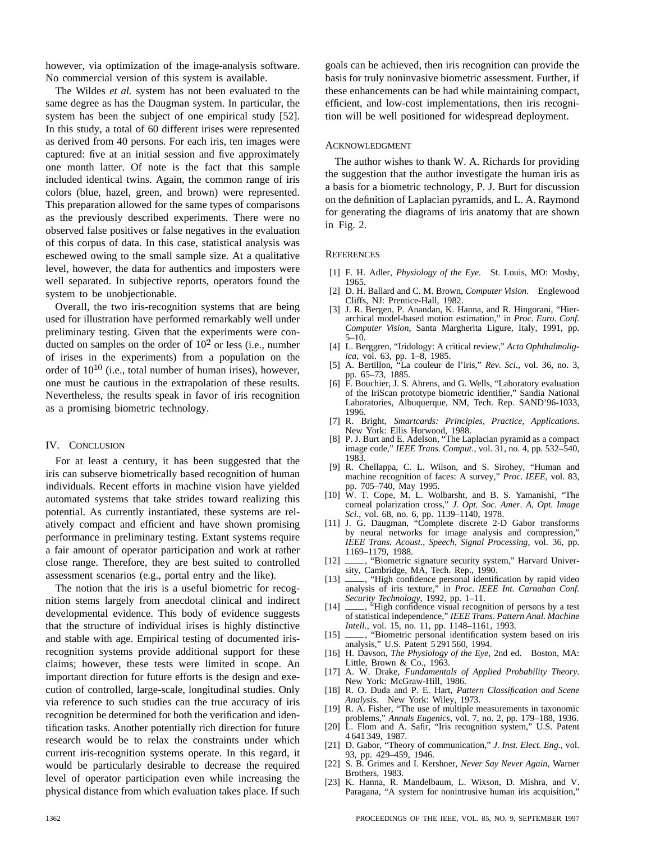however, via optimization of the image-analysis software. No commercial version of this system is available.

The Wildes *et al.* system has not been evaluated to the same degree as has the Daugman system. In particular, the system has been the subject of one empirical study [52]. In this study, a total of 60 different irises were represented as derived from 40 persons. For each iris, ten images were captured: five at an initial session and five approximately one month latter. Of note is the fact that this sample included identical twins. Again, the common range of iris colors (blue, hazel, green, and brown) were represented. This preparation allowed for the same types of comparisons as the previously described experiments. There were no observed false positives or false negatives in the evaluation of this corpus of data. In this case, statistical analysis was eschewed owing to the small sample size. At a qualitative level, however, the data for authentics and imposters were well separated. In subjective reports, operators found the system to be unobjectionable.

Overall, the two iris-recognition systems that are being used for illustration have performed remarkably well under preliminary testing. Given that the experiments were conducted on samples on the order of  $10<sup>2</sup>$  or less (i.e., number of irises in the experiments) from a population on the order of  $10^{10}$  (i.e., total number of human irises), however, one must be cautious in the extrapolation of these results. Nevertheless, the results speak in favor of iris recognition as a promising biometric technology.

#### IV. CONCLUSION

For at least a century, it has been suggested that the iris can subserve biometrically based recognition of human individuals. Recent efforts in machine vision have yielded automated systems that take strides toward realizing this potential. As currently instantiated, these systems are relatively compact and efficient and have shown promising performance in preliminary testing. Extant systems require a fair amount of operator participation and work at rather close range. Therefore, they are best suited to controlled assessment scenarios (e.g., portal entry and the like).

The notion that the iris is a useful biometric for recognition stems largely from anecdotal clinical and indirect developmental evidence. This body of evidence suggests that the structure of individual irises is highly distinctive and stable with age. Empirical testing of documented irisrecognition systems provide additional support for these claims; however, these tests were limited in scope. An important direction for future efforts is the design and execution of controlled, large-scale, longitudinal studies. Only via reference to such studies can the true accuracy of iris recognition be determined for both the verification and identification tasks. Another potentially rich direction for future research would be to relax the constraints under which current iris-recognition systems operate. In this regard, it would be particularly desirable to decrease the required level of operator participation even while increasing the physical distance from which evaluation takes place. If such goals can be achieved, then iris recognition can provide the basis for truly noninvasive biometric assessment. Further, if these enhancements can be had while maintaining compact, efficient, and low-cost implementations, then iris recognition will be well positioned for widespread deployment.

#### ACKNOWLEDGMENT

The author wishes to thank W. A. Richards for providing the suggestion that the author investigate the human iris as a basis for a biometric technology, P. J. Burt for discussion on the definition of Laplacian pyramids, and L. A. Raymond for generating the diagrams of iris anatomy that are shown in Fig. 2.

#### **REFERENCES**

- [1] F. H. Adler, *Physiology of the Eye*. St. Louis, MO: Mosby, 1965.
- [2] D. H. Ballard and C. M. Brown, *Computer Vision*. Englewood Cliffs, NJ: Prentice-Hall, 1982.
- [3] J. R. Bergen, P. Anandan, K. Hanna, and R. Hingorani, "Hierarchical model-based motion estimation," in *Proc. Euro. Conf. Computer Vision*, Santa Margherita Ligure, Italy, 1991, pp. 5–10.
- [4] L. Berggren, "Iridology: A critical review," *Acta Ophthalmoligica*, vol. 63, pp. 1–8, 1985.
- [5] A. Bertillon, "La couleur de l'iris," *Rev. Sci.*, vol. 36, no. 3, pp. 65–73, 1885.
- [6] F. Bouchier, J. S. Ahrens, and G. Wells, "Laboratory evaluation of the IriScan prototype biometric identifier," Sandia National Laboratories, Albuquerque, NM, Tech. Rep. SAND'96-1033, 1996.
- [7] R. Bright, *Smartcards: Principles, Practice, Applications*. New York: Ellis Horwood, 1988.
- [8] P. J. Burt and E. Adelson, "The Laplacian pyramid as a compact image code," *IEEE Trans. Comput.*, vol. 31, no. 4, pp. 532–540, 1983.
- [9] R. Chellappa, C. L. Wilson, and S. Sirohey, "Human and machine recognition of faces: A survey," *Proc. IEEE*, vol. 83, pp. 705–740, May 1995.
- [10] W. T. Cope, M. L. Wolbarsht, and B. S. Yamanishi, "The corneal polarization cross," *J. Opt. Soc. Amer. A, Opt. Image Sci.*, vol. 68, no. 6, pp. 1139–1140, 1978.
- [11] J. G. Daugman, "Complete discrete 2-D Gabor transforms by neural networks for image analysis and compression," *IEEE Trans. Acoust., Speech, Signal Processing*, vol. 36, pp.  $[12] \t 1169-1179, 1988.$ <br> $[12] \t$  "Biometric"
- "Biometric signature security system," Harvard University, Cambridge, MA, Tech. Rep., 1990.
- [13]  $\_\_\$ , "High confidence personal identification by rapid video analysis of iris texture," in *Proc. IEEE Int. Carnahan Conf. Security Technology*, 1992, pp. 1–11.
- [14] \_\_, "High confidence visual recognition of persons by a test of statistical independence," *IEEE Trans. Pattern Anal. Machine Intell.*, vol. 15, no. 11, pp. 1148–1161, 1993.
- [15]  $\_\_$ , "Biometric personal identification system based on iris analysis," U.S. Patent 5 291 560, 1994.
- [16] H. Davson, *The Physiology of the Eye*, 2nd ed. Boston, MA: Little, Brown & Co., 1963.
- [17] A. W. Drake, *Fundamentals of Applied Probability Theory*. New York: McGraw-Hill, 1986.
- [18] R. O. Duda and P. E. Hart, *Pattern Classification and Scene Analysis*. New York: Wiley, 1973.
- [19] R. A. Fisher, "The use of multiple measurements in taxonomic problems," *Annals Eugenics*, vol. 7, no. 2, pp. 179–188, 1936.
- [20] L. Flom and A. Safir, "Iris recognition system," U.S. Patent 4 641 349, 1987.
- [21] D. Gabor, "Theory of communication," *J. Inst. Elect. Eng.*, vol. 93, pp. 429–459, 1946.
- [22] S. B. Grimes and I. Kershner, *Never Say Never Again*, Warner Brothers, 1983.
- [23] K. Hanna, R. Mandelbaum, L. Wixson, D. Mishra, and V. Paragana, "A system for nonintrusive human iris acquisition,"